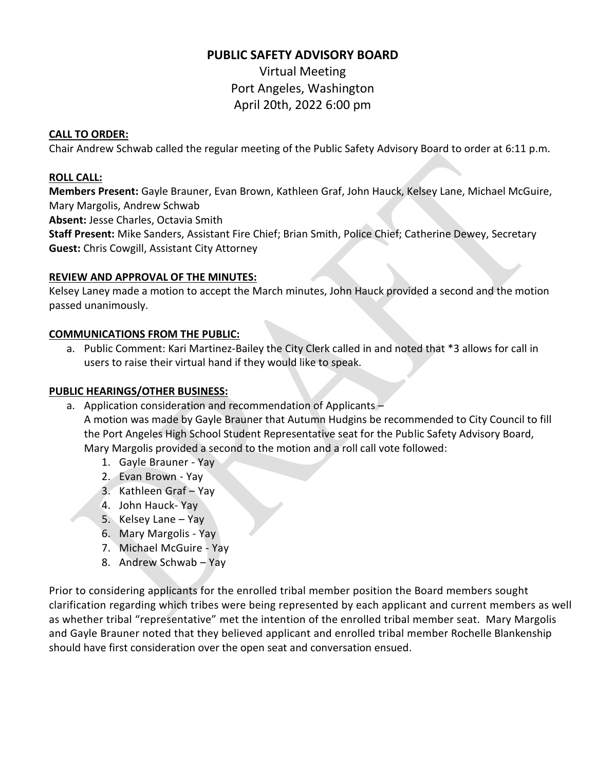# **PUBLIC SAFETY ADVISORY BOARD**

Virtual Meeting Port Angeles, Washington April 20th, 2022 6:00 pm

### **CALL TO ORDER:**

Chair Andrew Schwab called the regular meeting of the Public Safety Advisory Board to order at 6:11 p.m.

## **ROLL CALL:**

**Members Present:** Gayle Brauner, Evan Brown, Kathleen Graf, John Hauck, Kelsey Lane, Michael McGuire, Mary Margolis, Andrew Schwab

**Absent:** Jesse Charles, Octavia Smith

**Staff Present:** Mike Sanders, Assistant Fire Chief; Brian Smith, Police Chief; Catherine Dewey, Secretary **Guest:** Chris Cowgill, Assistant City Attorney

## **REVIEW AND APPROVAL OF THE MINUTES:**

Kelsey Laney made a motion to accept the March minutes, John Hauck provided a second and the motion passed unanimously.

## **COMMUNICATIONS FROM THE PUBLIC:**

a. Public Comment: Kari Martinez-Bailey the City Clerk called in and noted that \*3 allows for call in users to raise their virtual hand if they would like to speak.

#### **PUBLIC HEARINGS/OTHER BUSINESS:**

- a. Application consideration and recommendation of Applicants A motion was made by Gayle Brauner that Autumn Hudgins be recommended to City Council to fill the Port Angeles High School Student Representative seat for the Public Safety Advisory Board, Mary Margolis provided a second to the motion and a roll call vote followed:
	- 1. Gayle Brauner Yay
	- 2. Evan Brown Yay
	- 3. Kathleen Graf Yay
	- 4. John Hauck- Yay
	- 5. Kelsey Lane Yay
	- 6. Mary Margolis Yay
	- 7. Michael McGuire Yay
	- 8. Andrew Schwab Yay

Prior to considering applicants for the enrolled tribal member position the Board members sought clarification regarding which tribes were being represented by each applicant and current members as well as whether tribal "representative" met the intention of the enrolled tribal member seat. Mary Margolis and Gayle Brauner noted that they believed applicant and enrolled tribal member Rochelle Blankenship should have first consideration over the open seat and conversation ensued.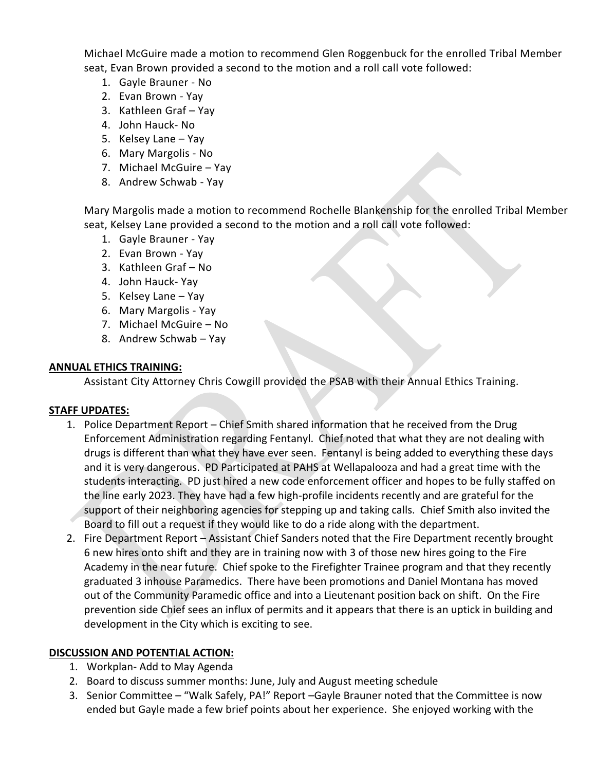Michael McGuire made a motion to recommend Glen Roggenbuck for the enrolled Tribal Member seat, Evan Brown provided a second to the motion and a roll call vote followed:

- 1. Gayle Brauner No
- 2. Evan Brown Yay
- 3. Kathleen Graf Yay
- 4. John Hauck- No
- 5. Kelsey Lane Yay
- 6. Mary Margolis No
- 7. Michael McGuire Yay
- 8. Andrew Schwab Yay

Mary Margolis made a motion to recommend Rochelle Blankenship for the enrolled Tribal Member seat, Kelsey Lane provided a second to the motion and a roll call vote followed:

- 1. Gayle Brauner Yay
- 2. Evan Brown Yay
- 3. Kathleen Graf No
- 4. John Hauck- Yay
- 5. Kelsey Lane Yay
- 6. Mary Margolis Yay
- 7. Michael McGuire No
- 8. Andrew Schwab Yay

#### **ANNUAL ETHICS TRAINING:**

Assistant City Attorney Chris Cowgill provided the PSAB with their Annual Ethics Training.

#### **STAFF UPDATES:**

- 1. Police Department Report Chief Smith shared information that he received from the Drug Enforcement Administration regarding Fentanyl. Chief noted that what they are not dealing with drugs is different than what they have ever seen. Fentanyl is being added to everything these days and it is very dangerous. PD Participated at PAHS at Wellapalooza and had a great time with the students interacting. PD just hired a new code enforcement officer and hopes to be fully staffed on the line early 2023. They have had a few high-profile incidents recently and are grateful for the support of their neighboring agencies for stepping up and taking calls. Chief Smith also invited the Board to fill out a request if they would like to do a ride along with the department.
- 2. Fire Department Report Assistant Chief Sanders noted that the Fire Department recently brought 6 new hires onto shift and they are in training now with 3 of those new hires going to the Fire Academy in the near future. Chief spoke to the Firefighter Trainee program and that they recently graduated 3 inhouse Paramedics. There have been promotions and Daniel Montana has moved out of the Community Paramedic office and into a Lieutenant position back on shift. On the Fire prevention side Chief sees an influx of permits and it appears that there is an uptick in building and development in the City which is exciting to see.

#### **DISCUSSION AND POTENTIAL ACTION:**

- 1. Workplan- Add to May Agenda
- 2. Board to discuss summer months: June, July and August meeting schedule
- 3. Senior Committee "Walk Safely, PA!" Report –Gayle Brauner noted that the Committee is now ended but Gayle made a few brief points about her experience. She enjoyed working with the